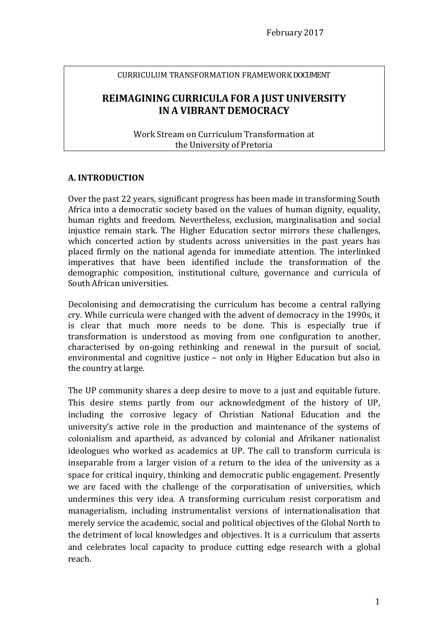#### CURRICULUM TRANSFORMATION FRAMEWORK DOCUMENT

# **REIMAGINING CURRICULA FOR A JUST UNIVERSITY IN A VIBRANT DEMOCRACY**

Work Stream on Curriculum Transformation at the University of Pretoria

#### **A. INTRODUCTION**

Over the past 22 years, significant progress has been made in transforming South Africa into a democratic society based on the values of human dignity, equality, human rights and freedom. Nevertheless, exclusion, marginalisation and social injustice remain stark. The Higher Education sector mirrors these challenges, which concerted action by students across universities in the past years has placed firmly on the national agenda for immediate attention. The interlinked imperatives that have been identified include the transformation of the demographic composition, institutional culture, governance and curricula of South African universities.

Decolonising and democratising the curriculum has become a central rallying cry. While curricula were changed with the advent of democracy in the 1990s, it is clear that much more needs to be done. This is especially true if transformation is understood as moving from one configuration to another, characterised by on-going rethinking and renewal in the pursuit of social, environmental and cognitive justice – not only in Higher Education but also in the country at large.

The UP community shares a deep desire to move to a just and equitable future. This desire stems partly from our acknowledgment of the history of UP, including the corrosive legacy of Christian National Education and the university's active role in the production and maintenance of the systems of colonialism and apartheid, as advanced by colonial and Afrikaner nationalist ideologues who worked as academics at UP. The call to transform curricula is inseparable from a larger vision of a return to the idea of the university as a space for critical inquiry, thinking and democratic public engagement. Presently we are faced with the challenge of the corporatisation of universities, which undermines this very idea. A transforming curriculum resist corporatism and managerialism, including instrumentalist versions of internationalisation that merely service the academic, social and political objectives of the Global North to the detriment of local knowledges and objectives. It is a curriculum that asserts and celebrates local capacity to produce cutting edge research with a global reach.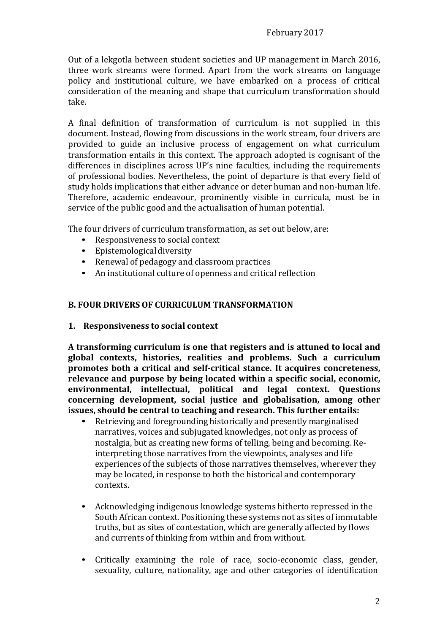Out of a lekgotla between student societies and UP management in March 2016, three work streams were formed. Apart from the work streams on language policy and institutional culture, we have embarked on a process of critical consideration of the meaning and shape that curriculum transformation should take.

A final definition of transformation of curriculum is not supplied in this document. Instead, flowing from discussions in the work stream, four drivers are provided to guide an inclusive process of engagement on what curriculum transformation entails in this context. The approach adopted is cognisant of the differences in disciplines across UP's nine faculties, including the requirements of professional bodies. Nevertheless, the point of departure is that every field of study holds implications that either advance or deter human and non-human life. Therefore, academic endeavour, prominently visible in curricula, must be in service of the public good and the actualisation of human potential.

The four drivers of curriculum transformation, as set out below, are:

- Responsiveness to social context
- Epistemological diversity
- Renewal of pedagogy and classroom practices
- An institutional culture of openness and critical reflection

#### **B. FOUR DRIVERS OF CURRICULUM TRANSFORMATION**

**1. Responsiveness to social context**

**A transforming curriculum is one that registers and is attuned to local and global contexts, histories, realities and problems. Such a curriculum promotes both a critical and self-critical stance. It acquires concreteness, relevance and purpose by being located within a specific social, economic, environmental, intellectual, political and legal context. Questions concerning development, social justice and globalisation, among other issues, should be central to teaching and research. This further entails:**

- Retrieving and foregrounding historically and presently marginalised narratives, voices and subjugated knowledges, not only as process of nostalgia, but as creating new forms of telling, being and becoming. Reinterpreting those narratives from the viewpoints, analyses and life experiences of the subjects of those narratives themselves, wherever they may be located, in response to both the historical and contemporary contexts.
- Acknowledging indigenous knowledge systems hitherto repressed in the South African context. Positioning these systems not as sites of immutable truths, but as sites of contestation, which are generally affected by flows and currents of thinking from within and from without.
- Critically examining the role of race, socio-economic class, gender, sexuality, culture, nationality, age and other categories of identification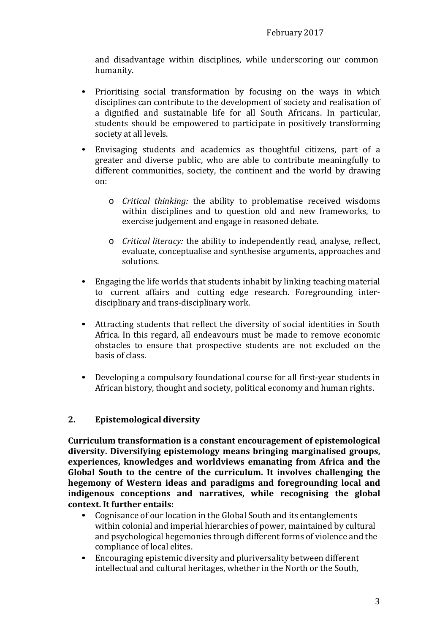and disadvantage within disciplines, while underscoring our common humanity.

- Prioritising social transformation by focusing on the ways in which disciplines can contribute to the development of society and realisation of a dignified and sustainable life for all South Africans. In particular, students should be empowered to participate in positively transforming society at all levels.
- Envisaging students and academics as thoughtful citizens, part of a greater and diverse public, who are able to contribute meaningfully to different communities, society, the continent and the world by drawing on:
	- o *Critical thinking:* the ability to problematise received wisdoms within disciplines and to question old and new frameworks, to exercise judgement and engage in reasoned debate.
	- o *Critical literacy:* the ability to independently read, analyse, reflect, evaluate, conceptualise and synthesise arguments, approaches and solutions.
- Engaging the life worlds that students inhabit by linking teaching material to current affairs and cutting edge research. Foregrounding interdisciplinary and trans-disciplinary work.
- Attracting students that reflect the diversity of social identities in South Africa. In this regard, all endeavours must be made to remove economic obstacles to ensure that prospective students are not excluded on the basis of class.
- Developing a compulsory foundational course for all first-year students in African history, thought and society, political economy and human rights.

# **2. Epistemological diversity**

**Curriculum transformation is a constant encouragement of epistemological diversity. Diversifying epistemology means bringing marginalised groups, experiences, knowledges and worldviews emanating from Africa and the Global South to the centre of the curriculum. It involves challenging the hegemony of Western ideas and paradigms and foregrounding local and indigenous conceptions and narratives, while recognising the global context. It further entails:**

- Cognisance of our location in the Global South and its entanglements within colonial and imperial hierarchies of power, maintained by cultural and psychological hegemonies through different forms of violence and the compliance of local elites.
- Encouraging epistemic diversity and pluriversality between different intellectual and cultural heritages, whether in the North or the South,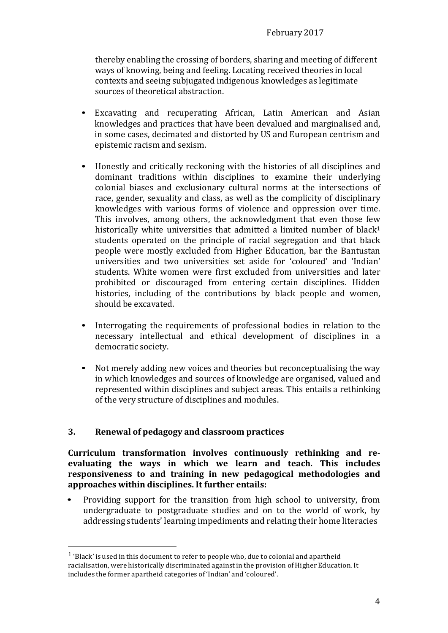thereby enabling the crossing of borders, sharing and meeting of different ways of knowing, being and feeling. Locating received theories in local contexts and seeing subjugated indigenous knowledges as legitimate sources of theoretical abstraction.

- Excavating and recuperating African, Latin American and Asian knowledges and practices that have been devalued and marginalised and, in some cases, decimated and distorted by US and European centrism and epistemic racism and sexism.
- Honestly and critically reckoning with the histories of all disciplines and dominant traditions within disciplines to examine their underlying colonial biases and exclusionary cultural norms at the intersections of race, gender, sexuality and class, as well as the complicity of disciplinary knowledges with various forms of violence and oppression over time. This involves, among others, the acknowledgment that even those few historically white universities that admitted a limited number of black<sup>1</sup> students operated on the principle of racial segregation and that black people were mostly excluded from Higher Education, bar the Bantustan universities and two universities set aside for 'coloured' and 'Indian' students. White women were first excluded from universities and later prohibited or discouraged from entering certain disciplines. Hidden histories, including of the contributions by black people and women, should be excavated.
- Interrogating the requirements of professional bodies in relation to the necessary intellectual and ethical development of disciplines in a democratic society.
- Not merely adding new voices and theories but reconceptualising the way in which knowledges and sources of knowledge are organised, valued and represented within disciplines and subject areas. This entails a rethinking of the very structure of disciplines and modules.

# **3. Renewal of pedagogy and classroom practices**

**Curriculum transformation involves continuously rethinking and reevaluating the ways in which we learn and teach. This includes responsiveness to and training in new pedagogical methodologies and approaches within disciplines. It further entails:**

• Providing support for the transition from high school to university, from undergraduate to postgraduate studies and on to the world of work, by addressing students' learning impediments and relating their home literacies

<sup>1</sup> 'Black' is used in this document to refer to people who, due to colonial and apartheid racialisation, were historically discriminated against in the provision of Higher Education. It includes the former apartheid categories of 'Indian' and 'coloured'.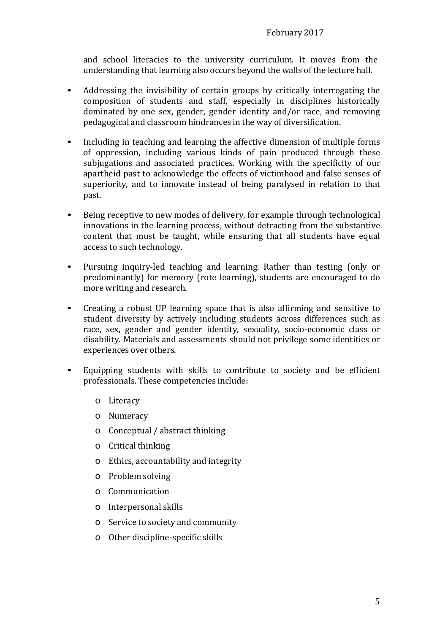and school literacies to the university curriculum. It moves from the understanding that learning also occurs beyond the walls of the lecture hall.

- Addressing the invisibility of certain groups by critically interrogating the composition of students and staff, especially in disciplines historically dominated by one sex, gender, gender identity and/or race, and removing pedagogical and classroom hindrances in the way of diversification.
- Including in teaching and learning the affective dimension of multiple forms of oppression, including various kinds of pain produced through these subjugations and associated practices. Working with the specificity of our apartheid past to acknowledge the effects of victimhood and false senses of superiority, and to innovate instead of being paralysed in relation to that past.
- Being receptive to new modes of delivery, for example through technological innovations in the learning process, without detracting from the substantive content that must be taught, while ensuring that all students have equal access to such technology.
- Pursuing inquiry-led teaching and learning. Rather than testing (only or predominantly) for memory (rote learning), students are encouraged to do more writing and research.
- Creating a robust UP learning space that is also affirming and sensitive to student diversity by actively including students across differences such as race, sex, gender and gender identity, sexuality, socio-economic class or disability. Materials and assessments should not privilege some identities or experiences over others.
- Equipping students with skills to contribute to society and be efficient professionals. These competencies include:
	- o Literacy
	- o Numeracy
	- o Conceptual / abstract thinking
	- o Critical thinking
	- o Ethics, accountability and integrity
	- o Problem solving
	- o Communication
	- o Interpersonal skills
	- o Service to society and community
	- o Other discipline-specific skills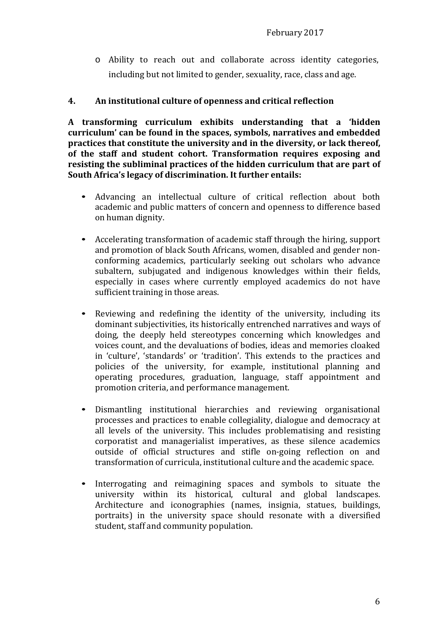o Ability to reach out and collaborate across identity categories, including but not limited to gender, sexuality, race, class and age.

### **4. An institutional culture of openness and critical reflection**

**A transforming curriculum exhibits understanding that a 'hidden curriculum' can be found in the spaces, symbols, narratives and embedded practices that constitute the university and in the diversity, or lack thereof, of the staff and student cohort. Transformation requires exposing and resisting the subliminal practices of the hidden curriculum that are part of South Africa's legacy of discrimination. It further entails:**

- Advancing an intellectual culture of critical reflection about both academic and public matters of concern and openness to difference based on human dignity.
- Accelerating transformation of academic staff through the hiring, support and promotion of black South Africans, women, disabled and gender nonconforming academics, particularly seeking out scholars who advance subaltern, subjugated and indigenous knowledges within their fields, especially in cases where currently employed academics do not have sufficient training in those areas.
- Reviewing and redefining the identity of the university, including its dominant subjectivities, its historically entrenched narratives and ways of doing, the deeply held stereotypes concerning which knowledges and voices count, and the devaluations of bodies, ideas and memories cloaked in 'culture', 'standards' or 'tradition'. This extends to the practices and policies of the university, for example, institutional planning and operating procedures, graduation, language, staff appointment and promotion criteria, and performance management.
- Dismantling institutional hierarchies and reviewing organisational processes and practices to enable collegiality, dialogue and democracy at all levels of the university. This includes problematising and resisting corporatist and managerialist imperatives, as these silence academics outside of official structures and stifle on-going reflection on and transformation of curricula, institutional culture and the academic space.
- Interrogating and reimagining spaces and symbols to situate the university within its historical, cultural and global landscapes. Architecture and iconographies (names, insignia, statues, buildings, portraits) in the university space should resonate with a diversified student, staff and community population.